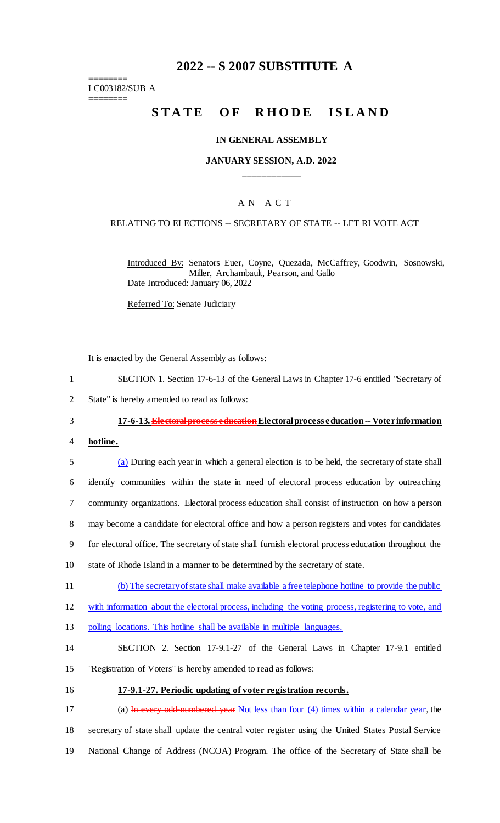# **2022 -- S 2007 SUBSTITUTE A**

======== LC003182/SUB A ========

# STATE OF RHODE ISLAND

### **IN GENERAL ASSEMBLY**

# **JANUARY SESSION, A.D. 2022 \_\_\_\_\_\_\_\_\_\_\_\_**

# A N A C T

### RELATING TO ELECTIONS -- SECRETARY OF STATE -- LET RI VOTE ACT

Introduced By: Senators Euer, Coyne, Quezada, McCaffrey, Goodwin, Sosnowski, Miller, Archambault, Pearson, and Gallo Date Introduced: January 06, 2022

Referred To: Senate Judiciary

It is enacted by the General Assembly as follows:

- 1 SECTION 1. Section 17-6-13 of the General Laws in Chapter 17-6 entitled "Secretary of
- 2 State" is hereby amended to read as follows:

# 3 **17-6-13. Electoral process education** Electoral process education -- Voter information

4 **hotline.**

 (a) During each year in which a general election is to be held, the secretary of state shall identify communities within the state in need of electoral process education by outreaching community organizations. Electoral process education shall consist of instruction on how a person may become a candidate for electoral office and how a person registers and votes for candidates for electoral office. The secretary of state shall furnish electoral process education throughout the state of Rhode Island in a manner to be determined by the secretary of state.

- 11 (b) The secretary of state shall make available a free telephone hotline to provide the public
- 12 with information about the electoral process, including the voting process, registering to vote, and
- 13 polling locations. This hotline shall be available in multiple languages.
- 14 SECTION 2. Section 17-9.1-27 of the General Laws in Chapter 17-9.1 entitled 15 "Registration of Voters" is hereby amended to read as follows:
- 
- 16 **17-9.1-27. Periodic updating of voter registration records.**

17 (a) In every odd-numbered year Not less than four (4) times within a calendar year, the 18 secretary of state shall update the central voter register using the United States Postal Service 19 National Change of Address (NCOA) Program. The office of the Secretary of State shall be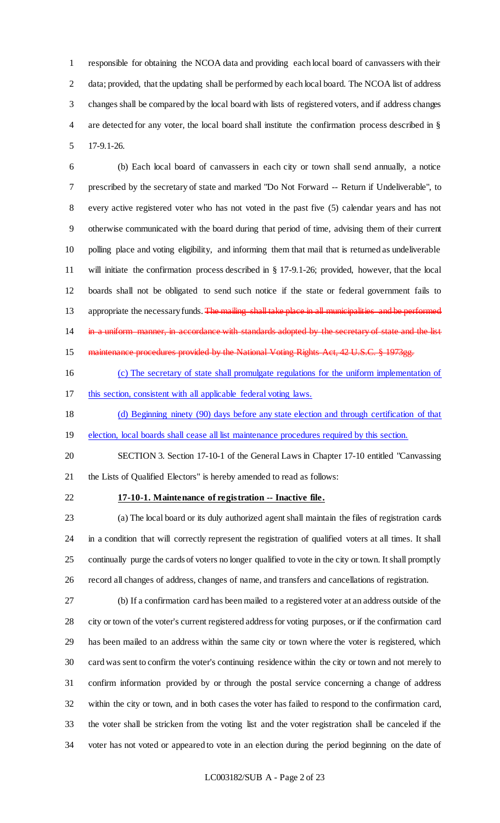responsible for obtaining the NCOA data and providing each local board of canvassers with their 2 data; provided, that the updating shall be performed by each local board. The NCOA list of address changes shall be compared by the local board with lists of registered voters, and if address changes are detected for any voter, the local board shall institute the confirmation process described in § 17-9.1-26.

 (b) Each local board of canvassers in each city or town shall send annually, a notice prescribed by the secretary of state and marked "Do Not Forward -- Return if Undeliverable", to every active registered voter who has not voted in the past five (5) calendar years and has not otherwise communicated with the board during that period of time, advising them of their current polling place and voting eligibility, and informing them that mail that is returned as undeliverable will initiate the confirmation process described in § 17-9.1-26; provided, however, that the local boards shall not be obligated to send such notice if the state or federal government fails to 13 appropriate the necessary funds. The mailing shall take place in all municipalities and be performed 14 in a uniform manner, in accordance with standards adopted by the secretary of state and the list 15 maintenance procedures provided by the National Voting Rights Act, 42 U.S.C. § 1973gg.

- (c) The secretary of state shall promulgate regulations for the uniform implementation of this section, consistent with all applicable federal voting laws.
- (d) Beginning ninety (90) days before any state election and through certification of that
- 19 election, local boards shall cease all list maintenance procedures required by this section.
- SECTION 3. Section 17-10-1 of the General Laws in Chapter 17-10 entitled "Canvassing the Lists of Qualified Electors" is hereby amended to read as follows:

### **17-10-1. Maintenance of registration -- Inactive file.**

 (a) The local board or its duly authorized agent shall maintain the files of registration cards in a condition that will correctly represent the registration of qualified voters at all times. It shall continually purge the cards of voters no longer qualified to vote in the city or town. It shall promptly record all changes of address, changes of name, and transfers and cancellations of registration.

 (b) If a confirmation card has been mailed to a registered voter at an address outside of the city or town of the voter's current registered address for voting purposes, or if the confirmation card has been mailed to an address within the same city or town where the voter is registered, which card was sent to confirm the voter's continuing residence within the city or town and not merely to confirm information provided by or through the postal service concerning a change of address within the city or town, and in both cases the voter has failed to respond to the confirmation card, the voter shall be stricken from the voting list and the voter registration shall be canceled if the voter has not voted or appeared to vote in an election during the period beginning on the date of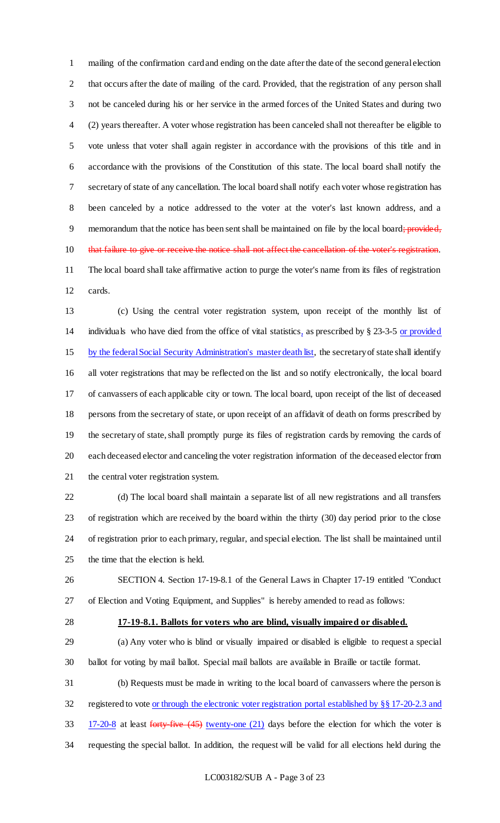mailing of the confirmation card and ending on the date after the date of the second general election that occurs after the date of mailing of the card. Provided, that the registration of any person shall not be canceled during his or her service in the armed forces of the United States and during two (2) years thereafter. A voter whose registration has been canceled shall not thereafter be eligible to vote unless that voter shall again register in accordance with the provisions of this title and in accordance with the provisions of the Constitution of this state. The local board shall notify the secretary of state of any cancellation. The local board shall notify each voter whose registration has been canceled by a notice addressed to the voter at the voter's last known address, and a 9 memorandum that the notice has been sent shall be maintained on file by the local board; provided, 10 that failure to give or receive the notice shall not affect the cancellation of the voter's registration. The local board shall take affirmative action to purge the voter's name from its files of registration cards.

 (c) Using the central voter registration system, upon receipt of the monthly list of individuals who have died from the office of vital statistics, as prescribed by § 23-3-5 or provided 15 by the federal Social Security Administration's master death list, the secretary of state shall identify all voter registrations that may be reflected on the list and so notify electronically, the local board of canvassers of each applicable city or town. The local board, upon receipt of the list of deceased persons from the secretary of state, or upon receipt of an affidavit of death on forms prescribed by the secretary of state, shall promptly purge its files of registration cards by removing the cards of each deceased elector and canceling the voter registration information of the deceased elector from the central voter registration system.

 (d) The local board shall maintain a separate list of all new registrations and all transfers of registration which are received by the board within the thirty (30) day period prior to the close of registration prior to each primary, regular, and special election. The list shall be maintained until the time that the election is held.

 SECTION 4. Section 17-19-8.1 of the General Laws in Chapter 17-19 entitled "Conduct of Election and Voting Equipment, and Supplies" is hereby amended to read as follows:

#### **17-19-8.1. Ballots for voters who are blind, visually impaired or disabled.**

 (a) Any voter who is blind or visually impaired or disabled is eligible to request a special ballot for voting by mail ballot. Special mail ballots are available in Braille or tactile format.

 (b) Requests must be made in writing to the local board of canvassers where the person is 32 registered to vote <u>or through the electronic voter registration portal established by §§ 17-20-2.3 and</u> 33 17-20-8 at least forty-five (45) twenty-one (21) days before the election for which the voter is requesting the special ballot. In addition, the request will be valid for all elections held during the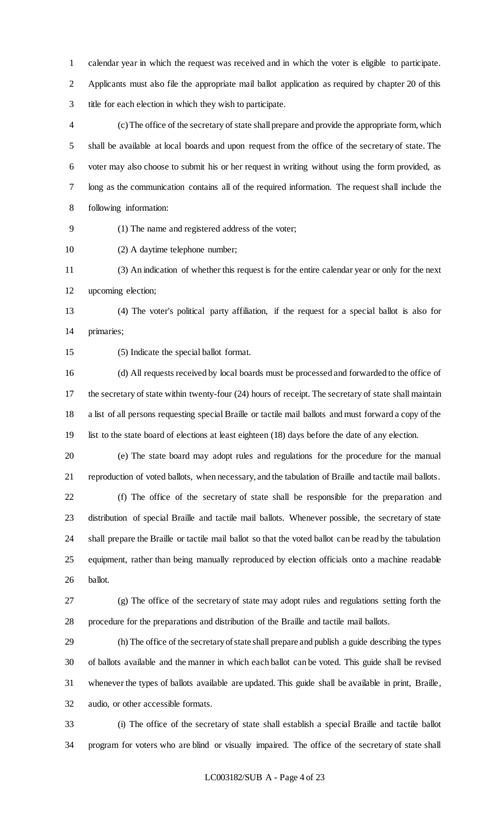calendar year in which the request was received and in which the voter is eligible to participate. Applicants must also file the appropriate mail ballot application as required by chapter 20 of this title for each election in which they wish to participate.

 (c) The office of the secretary of state shall prepare and provide the appropriate form, which shall be available at local boards and upon request from the office of the secretary of state. The voter may also choose to submit his or her request in writing without using the form provided, as long as the communication contains all of the required information. The request shall include the following information:

(1) The name and registered address of the voter;

(2) A daytime telephone number;

 (3) An indication of whether this request is for the entire calendar year or only for the next upcoming election;

 (4) The voter's political party affiliation, if the request for a special ballot is also for primaries;

(5) Indicate the special ballot format.

 (d) All requests received by local boards must be processed and forwarded to the office of the secretary of state within twenty-four (24) hours of receipt. The secretary of state shall maintain a list of all persons requesting special Braille or tactile mail ballots and must forward a copy of the list to the state board of elections at least eighteen (18) days before the date of any election.

 (e) The state board may adopt rules and regulations for the procedure for the manual reproduction of voted ballots, when necessary, and the tabulation of Braille and tactile mail ballots.

 (f) The office of the secretary of state shall be responsible for the preparation and distribution of special Braille and tactile mail ballots. Whenever possible, the secretary of state shall prepare the Braille or tactile mail ballot so that the voted ballot can be read by the tabulation equipment, rather than being manually reproduced by election officials onto a machine readable ballot.

 (g) The office of the secretary of state may adopt rules and regulations setting forth the procedure for the preparations and distribution of the Braille and tactile mail ballots.

 (h) The office of the secretary of state shall prepare and publish a guide describing the types of ballots available and the manner in which each ballot can be voted. This guide shall be revised whenever the types of ballots available are updated. This guide shall be available in print, Braille, audio, or other accessible formats.

 (i) The office of the secretary of state shall establish a special Braille and tactile ballot program for voters who are blind or visually impaired. The office of the secretary of state shall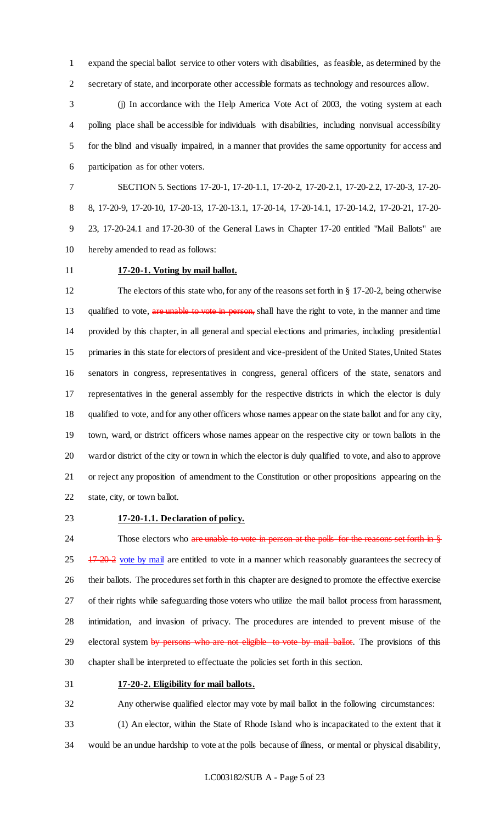expand the special ballot service to other voters with disabilities, as feasible, as determined by the secretary of state, and incorporate other accessible formats as technology and resources allow.

 (j) In accordance with the Help America Vote Act of 2003, the voting system at each polling place shall be accessible for individuals with disabilities, including nonvisual accessibility for the blind and visually impaired, in a manner that provides the same opportunity for access and participation as for other voters.

 SECTION 5. Sections 17-20-1, 17-20-1.1, 17-20-2, 17-20-2.1, 17-20-2.2, 17-20-3, 17-20- 8, 17-20-9, 17-20-10, 17-20-13, 17-20-13.1, 17-20-14, 17-20-14.1, 17-20-14.2, 17-20-21, 17-20- 23, 17-20-24.1 and 17-20-30 of the General Laws in Chapter 17-20 entitled "Mail Ballots" are hereby amended to read as follows:

# **17-20-1. Voting by mail ballot.**

 The electors of this state who, for any of the reasons set forth in § 17-20-2, being otherwise 13 qualified to vote, are unable to vote in person, shall have the right to vote, in the manner and time provided by this chapter, in all general and special elections and primaries, including presidential primaries in this state for electors of president and vice-president of the United States, United States senators in congress, representatives in congress, general officers of the state, senators and representatives in the general assembly for the respective districts in which the elector is duly qualified to vote, and for any other officers whose names appear on the state ballot and for any city, town, ward, or district officers whose names appear on the respective city or town ballots in the ward or district of the city or town in which the elector is duly qualified to vote, and also to approve or reject any proposition of amendment to the Constitution or other propositions appearing on the state, city, or town ballot.

#### **17-20-1.1. Declaration of policy.**

24 Those electors who are unable to vote in person at the polls for the reasons set forth in §  $25 \frac{17-20-2}{2}$  vote by mail are entitled to vote in a manner which reasonably guarantees the secrecy of their ballots. The procedures set forth in this chapter are designed to promote the effective exercise of their rights while safeguarding those voters who utilize the mail ballot process from harassment, intimidation, and invasion of privacy. The procedures are intended to prevent misuse of the 29 electoral system by persons who are not eligible to vote by mail ballot. The provisions of this chapter shall be interpreted to effectuate the policies set forth in this section.

#### **17-20-2. Eligibility for mail ballots.**

Any otherwise qualified elector may vote by mail ballot in the following circumstances:

(1) An elector, within the State of Rhode Island who is incapacitated to the extent that it

would be an undue hardship to vote at the polls because of illness, or mental or physical disability,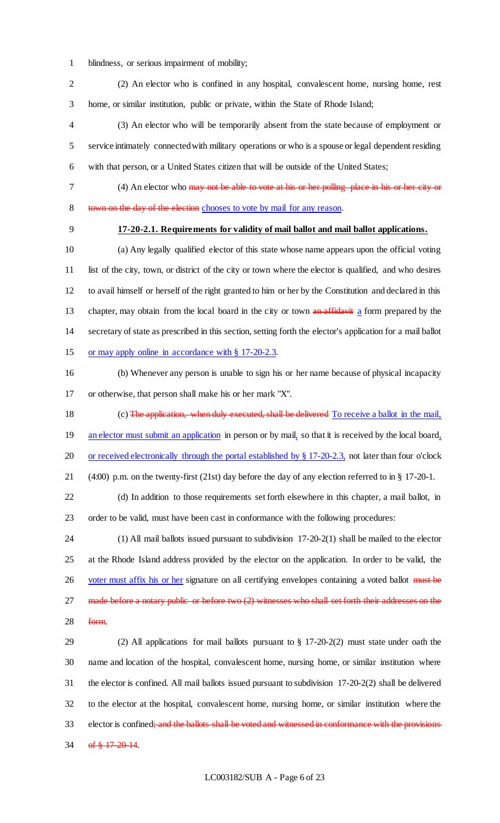- blindness, or serious impairment of mobility;
- (2) An elector who is confined in any hospital, convalescent home, nursing home, rest home, or similar institution, public or private, within the State of Rhode Island;
- (3) An elector who will be temporarily absent from the state because of employment or service intimately connected with military operations or who is a spouse or legal dependent residing with that person, or a United States citizen that will be outside of the United States;
- 

 (4) An elector who may not be able to vote at his or her polling place in his or her city or town on the day of the election chooses to vote by mail for any reason.

# **17-20-2.1. Requirements for validity of mail ballot and mail ballot applications.**

 (a) Any legally qualified elector of this state whose name appears upon the official voting list of the city, town, or district of the city or town where the elector is qualified, and who desires to avail himself or herself of the right granted to him or her by the Constitution and declared in this 13 chapter, may obtain from the local board in the city or town an affidavit a form prepared by the secretary of state as prescribed in this section, setting forth the elector's application for a mail ballot 15 or may apply online in accordance with § 17-20-2.3.

- (b) Whenever any person is unable to sign his or her name because of physical incapacity or otherwise, that person shall make his or her mark "X".
- (c) The application, when duly executed, shall be delivered To receive a ballot in the mail, 19 an elector must submit an application in person or by mail, so that it is received by the local board, 20 or received electronically through the portal established by § 17-20-2.3, not later than four o'clock (4:00) p.m. on the twenty-first (21st) day before the day of any election referred to in § 17-20-1.
- (d) In addition to those requirements set forth elsewhere in this chapter, a mail ballot, in order to be valid, must have been cast in conformance with the following procedures:
- (1) All mail ballots issued pursuant to subdivision 17-20-2(1) shall be mailed to the elector at the Rhode Island address provided by the elector on the application. In order to be valid, the 26 voter must affix his or her signature on all certifying envelopes containing a voted ballot must be 27 made before a notary public or before two (2) witnesses who shall set forth their addresses on the
- form.
- (2) All applications for mail ballots pursuant to § 17-20-2(2) must state under oath the name and location of the hospital, convalescent home, nursing home, or similar institution where the elector is confined. All mail ballots issued pursuant to subdivision 17-20-2(2) shall be delivered to the elector at the hospital, convalescent home, nursing home, or similar institution where the 33 elector is confined; and the ballots shall be voted and witnessed in conformance with the provisions 34 of  $\frac{17-20-14}{6}$ .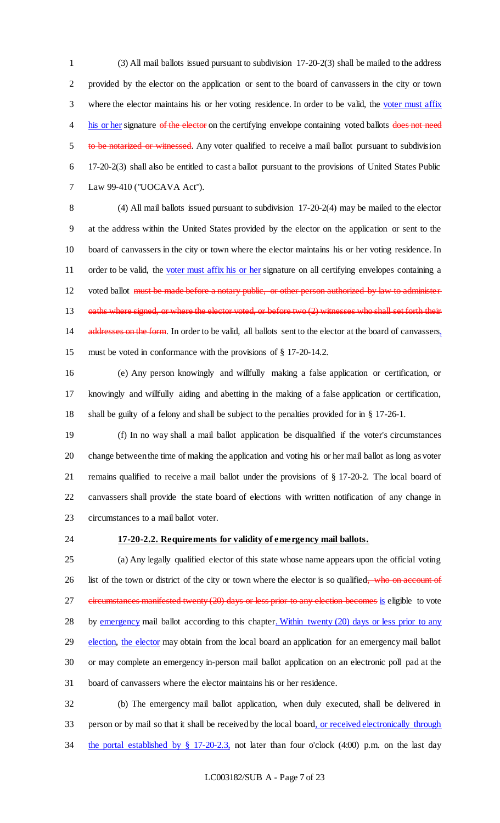(3) All mail ballots issued pursuant to subdivision 17-20-2(3) shall be mailed to the address provided by the elector on the application or sent to the board of canvassers in the city or town where the elector maintains his or her voting residence. In order to be valid, the voter must affix 4 his or her signature of the elector on the certifying envelope containing voted ballots does not need 5 to be notarized or witnessed. Any voter qualified to receive a mail ballot pursuant to subdivision 17-20-2(3) shall also be entitled to cast a ballot pursuant to the provisions of United States Public Law 99-410 ("UOCAVA Act").

 (4) All mail ballots issued pursuant to subdivision 17-20-2(4) may be mailed to the elector at the address within the United States provided by the elector on the application or sent to the board of canvassers in the city or town where the elector maintains his or her voting residence. In 11 order to be valid, the voter must affix his or her signature on all certifying envelopes containing a 12 voted ballot must be made before a notary public, or other person authorized by law to administer 13 oaths where signed, or where the elector voted, or before two (2) witnesses who shall set forth their 14 addresses on the form. In order to be valid, all ballots sent to the elector at the board of canvassers, must be voted in conformance with the provisions of § 17-20-14.2.

 (e) Any person knowingly and willfully making a false application or certification, or knowingly and willfully aiding and abetting in the making of a false application or certification, shall be guilty of a felony and shall be subject to the penalties provided for in § 17-26-1.

 (f) In no way shall a mail ballot application be disqualified if the voter's circumstances change between the time of making the application and voting his or her mail ballot as long as voter remains qualified to receive a mail ballot under the provisions of § 17-20-2. The local board of canvassers shall provide the state board of elections with written notification of any change in circumstances to a mail ballot voter.

### **17-20-2.2. Requirements for validity of emergency mail ballots.**

 (a) Any legally qualified elector of this state whose name appears upon the official voting 26 list of the town or district of the city or town where the elector is so qualified, who on account of 27 eircumstances manifested twenty (20) days or less prior to any election becomes is eligible to vote 28 by emergency mail ballot according to this chapter. Within twenty (20) days or less prior to any 29 election, the elector may obtain from the local board an application for an emergency mail ballot or may complete an emergency in-person mail ballot application on an electronic poll pad at the board of canvassers where the elector maintains his or her residence.

 (b) The emergency mail ballot application, when duly executed, shall be delivered in person or by mail so that it shall be received by the local board, or received electronically through the portal established by § 17-20-2.3, not later than four o'clock (4:00) p.m. on the last day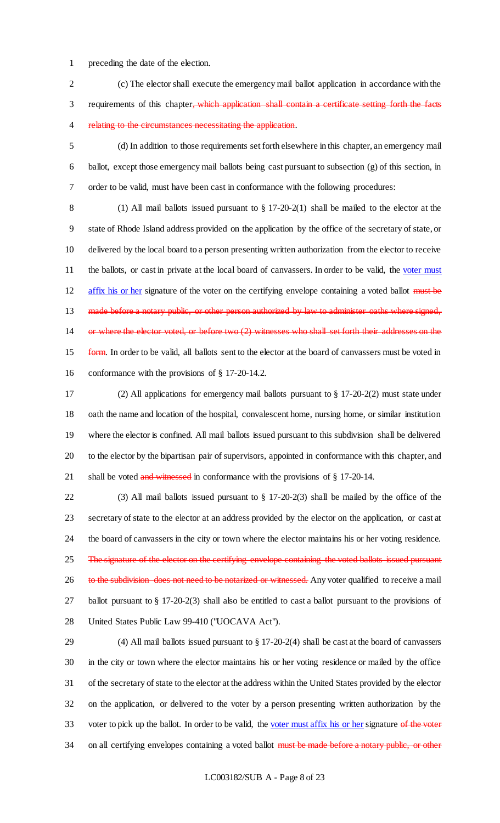preceding the date of the election.

 (c) The elector shall execute the emergency mail ballot application in accordance with the 3 requirements of this chapter<del>, which application shall contain a certificate setting forth the facts</del> 4 relating to the circumstances necessitating the application.

 (d) In addition to those requirements set forth elsewhere in this chapter, an emergency mail ballot, except those emergency mail ballots being cast pursuant to subsection (g) of this section, in order to be valid, must have been cast in conformance with the following procedures:

 (1) All mail ballots issued pursuant to § 17-20-2(1) shall be mailed to the elector at the state of Rhode Island address provided on the application by the office of the secretary of state, or delivered by the local board to a person presenting written authorization from the elector to receive 11 the ballots, or cast in private at the local board of canvassers. In order to be valid, the voter must 12 affix his or her signature of the voter on the certifying envelope containing a voted ballot must be 13 made before a notary public, or other person authorized by law to administer oaths where signed, or where the elector voted, or before two (2) witnesses who shall set forth their addresses on the 15 form. In order to be valid, all ballots sent to the elector at the board of canvassers must be voted in conformance with the provisions of § 17-20-14.2.

 (2) All applications for emergency mail ballots pursuant to § 17-20-2(2) must state under oath the name and location of the hospital, convalescent home, nursing home, or similar institution where the elector is confined. All mail ballots issued pursuant to this subdivision shall be delivered to the elector by the bipartisan pair of supervisors, appointed in conformance with this chapter, and 21 shall be voted and witnessed in conformance with the provisions of  $\S$  17-20-14.

 (3) All mail ballots issued pursuant to § 17-20-2(3) shall be mailed by the office of the secretary of state to the elector at an address provided by the elector on the application, or cast at the board of canvassers in the city or town where the elector maintains his or her voting residence. 25 The signature of the elector on the certifying envelope containing the voted ballots issued pursuant 26 to the subdivision does not need to be notarized or witnessed. Any voter qualified to receive a mail ballot pursuant to § 17-20-2(3) shall also be entitled to cast a ballot pursuant to the provisions of United States Public Law 99-410 ("UOCAVA Act").

 (4) All mail ballots issued pursuant to § 17-20-2(4) shall be cast at the board of canvassers in the city or town where the elector maintains his or her voting residence or mailed by the office of the secretary of state to the elector at the address within the United States provided by the elector on the application, or delivered to the voter by a person presenting written authorization by the 33 voter to pick up the ballot. In order to be valid, the voter must affix his or her signature of the voter 34 on all certifying envelopes containing a voted ballot must be made before a notary public, or other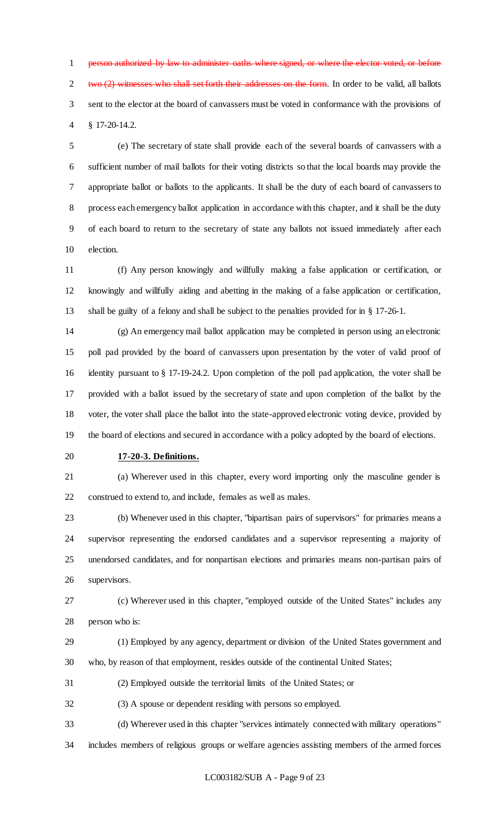person authorized by law to administer oaths where signed, or where the elector voted, or before two  $(2)$  witnesses who shall set forth their addresses on the form. In order to be valid, all ballots sent to the elector at the board of canvassers must be voted in conformance with the provisions of § 17-20-14.2.

 (e) The secretary of state shall provide each of the several boards of canvassers with a sufficient number of mail ballots for their voting districts so that the local boards may provide the appropriate ballot or ballots to the applicants. It shall be the duty of each board of canvassers to process each emergency ballot application in accordance with this chapter, and it shall be the duty of each board to return to the secretary of state any ballots not issued immediately after each election.

 (f) Any person knowingly and willfully making a false application or certification, or knowingly and willfully aiding and abetting in the making of a false application or certification, shall be guilty of a felony and shall be subject to the penalties provided for in § 17-26-1.

 (g) An emergency mail ballot application may be completed in person using an electronic poll pad provided by the board of canvassers upon presentation by the voter of valid proof of identity pursuant to § 17-19-24.2. Upon completion of the poll pad application, the voter shall be provided with a ballot issued by the secretary of state and upon completion of the ballot by the voter, the voter shall place the ballot into the state-approved electronic voting device, provided by the board of elections and secured in accordance with a policy adopted by the board of elections.

**17-20-3. Definitions.**

 (a) Wherever used in this chapter, every word importing only the masculine gender is construed to extend to, and include, females as well as males.

 (b) Whenever used in this chapter, "bipartisan pairs of supervisors" for primaries means a supervisor representing the endorsed candidates and a supervisor representing a majority of unendorsed candidates, and for nonpartisan elections and primaries means non-partisan pairs of supervisors.

 (c) Wherever used in this chapter, "employed outside of the United States" includes any person who is:

 (1) Employed by any agency, department or division of the United States government and who, by reason of that employment, resides outside of the continental United States;

(2) Employed outside the territorial limits of the United States; or

(3) A spouse or dependent residing with persons so employed.

(d) Wherever used in this chapter "services intimately connected with military operations"

includes members of religious groups or welfare agencies assisting members of the armed forces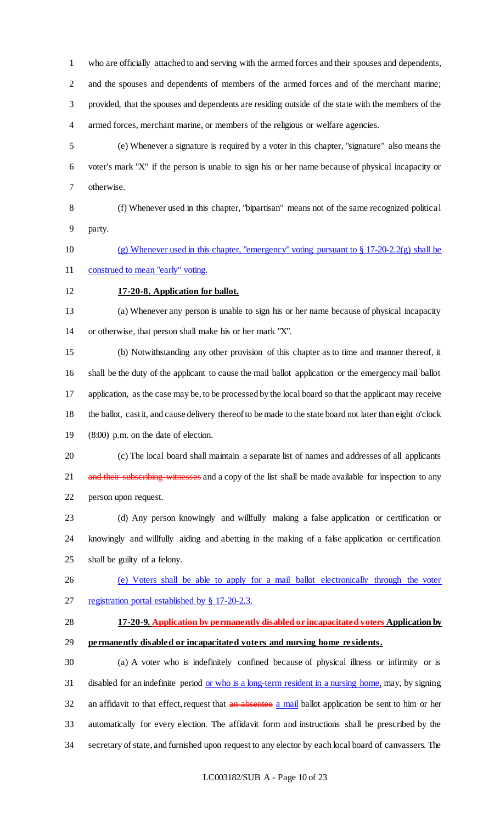who are officially attached to and serving with the armed forces and their spouses and dependents,

 and the spouses and dependents of members of the armed forces and of the merchant marine; provided, that the spouses and dependents are residing outside of the state with the members of the armed forces, merchant marine, or members of the religious or welfare agencies.

 (e) Whenever a signature is required by a voter in this chapter, "signature" also means the voter's mark "X" if the person is unable to sign his or her name because of physical incapacity or otherwise.

 (f) Whenever used in this chapter, "bipartisan" means not of the same recognized political party.

 (g) Whenever used in this chapter, "emergency" voting pursuant to § 17-20-2.2(g) shall be construed to mean "early" voting.

# **17-20-8. Application for ballot.**

 (a) Whenever any person is unable to sign his or her name because of physical incapacity or otherwise, that person shall make his or her mark "X".

 (b) Notwithstanding any other provision of this chapter as to time and manner thereof, it shall be the duty of the applicant to cause the mail ballot application or the emergency mail ballot application, as the case may be, to be processed by the local board so that the applicant may receive the ballot, cast it, and cause delivery thereof to be made to the state board not later than eight o'clock (8:00) p.m. on the date of election.

 (c) The local board shall maintain a separate list of names and addresses of all applicants 21 and their subscribing witnesses and a copy of the list shall be made available for inspection to any person upon request.

 (d) Any person knowingly and willfully making a false application or certification or knowingly and willfully aiding and abetting in the making of a false application or certification shall be guilty of a felony.

 (e) Voters shall be able to apply for a mail ballot electronically through the voter registration portal established by § 17-20-2.3.

 **17-20-9. Application by permanently disabled or incapacitated voters Application by permanently disabled or incapacitated voters and nursing home residents.**

 (a) A voter who is indefinitely confined because of physical illness or infirmity or is 31 disabled for an indefinite period <u>or who is a long-term resident in a nursing home,</u> may, by signing 32 an affidavit to that effect, request that an absentee a mail ballot application be sent to him or her automatically for every election. The affidavit form and instructions shall be prescribed by the secretary of state, and furnished upon request to any elector by each local board of canvassers. The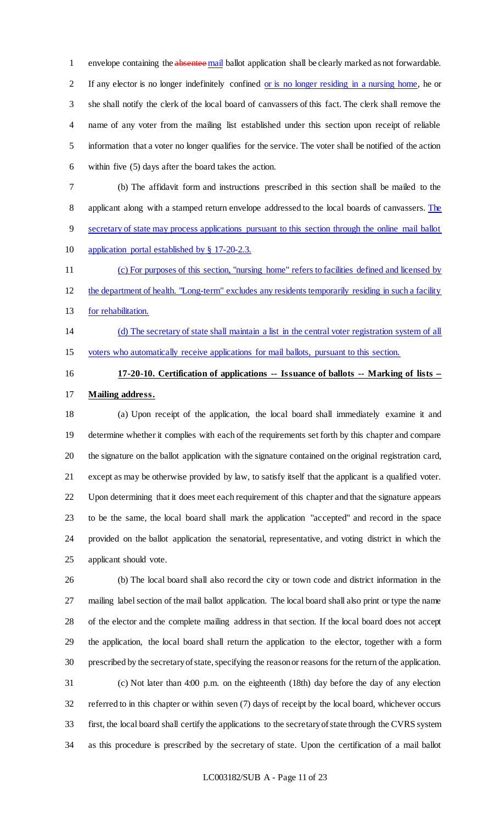1 envelope containing the absentee mail ballot application shall be clearly marked as not forwardable. If any elector is no longer indefinitely confined or is no longer residing in a nursing home, he or she shall notify the clerk of the local board of canvassers of this fact. The clerk shall remove the name of any voter from the mailing list established under this section upon receipt of reliable information that a voter no longer qualifies for the service. The voter shall be notified of the action within five (5) days after the board takes the action.

(b) The affidavit form and instructions prescribed in this section shall be mailed to the

8 applicant along with a stamped return envelope addressed to the local boards of canvassers. The

- secretary of state may process applications pursuant to this section through the online mail ballot
- application portal established by § 17-20-2.3.

(c) For purposes of this section, "nursing home" refers to facilities defined and licensed by

- the department of health. "Long-term" excludes any residents temporarily residing in such a facility
- for rehabilitation.
- (d) The secretary of state shall maintain a list in the central voter registration system of all voters who automatically receive applications for mail ballots, pursuant to this section.
- 

# **17-20-10. Certification of applications -- Issuance of ballots -- Marking of lists -- Mailing address.**

 (a) Upon receipt of the application, the local board shall immediately examine it and determine whether it complies with each of the requirements set forth by this chapter and compare the signature on the ballot application with the signature contained on the original registration card, except as may be otherwise provided by law, to satisfy itself that the applicant is a qualified voter. Upon determining that it does meet each requirement of this chapter and that the signature appears to be the same, the local board shall mark the application "accepted" and record in the space provided on the ballot application the senatorial, representative, and voting district in which the applicant should vote.

 (b) The local board shall also record the city or town code and district information in the mailing label section of the mail ballot application. The local board shall also print or type the name of the elector and the complete mailing address in that section. If the local board does not accept the application, the local board shall return the application to the elector, together with a form prescribed by the secretary of state, specifying the reason or reasons for the return of the application. (c) Not later than 4:00 p.m. on the eighteenth (18th) day before the day of any election referred to in this chapter or within seven (7) days of receipt by the local board, whichever occurs

 first, the local board shall certify the applications to the secretary of state through the CVRS system as this procedure is prescribed by the secretary of state. Upon the certification of a mail ballot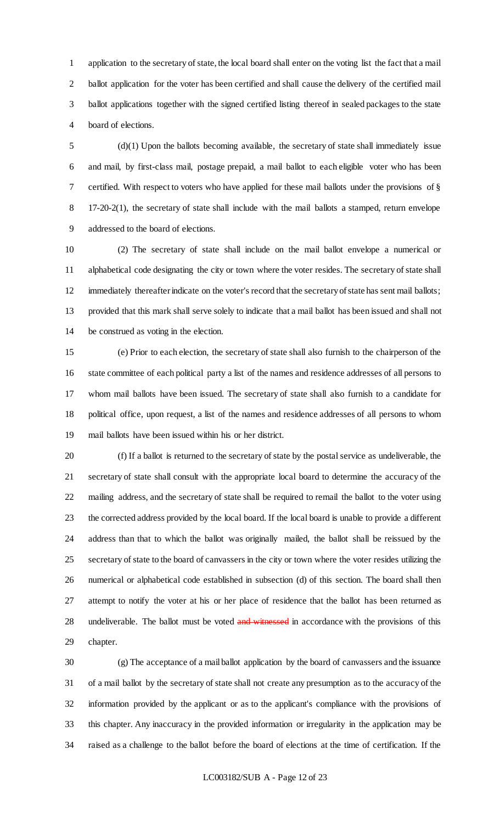application to the secretary of state, the local board shall enter on the voting list the fact that a mail ballot application for the voter has been certified and shall cause the delivery of the certified mail ballot applications together with the signed certified listing thereof in sealed packages to the state board of elections.

 (d)(1) Upon the ballots becoming available, the secretary of state shall immediately issue and mail, by first-class mail, postage prepaid, a mail ballot to each eligible voter who has been certified. With respect to voters who have applied for these mail ballots under the provisions of § 17-20-2(1), the secretary of state shall include with the mail ballots a stamped, return envelope addressed to the board of elections.

 (2) The secretary of state shall include on the mail ballot envelope a numerical or alphabetical code designating the city or town where the voter resides. The secretary of state shall 12 immediately thereafter indicate on the voter's record that the secretary of state has sent mail ballots; provided that this mark shall serve solely to indicate that a mail ballot has been issued and shall not be construed as voting in the election.

 (e) Prior to each election, the secretary of state shall also furnish to the chairperson of the state committee of each political party a list of the names and residence addresses of all persons to whom mail ballots have been issued. The secretary of state shall also furnish to a candidate for political office, upon request, a list of the names and residence addresses of all persons to whom mail ballots have been issued within his or her district.

 (f) If a ballot is returned to the secretary of state by the postal service as undeliverable, the secretary of state shall consult with the appropriate local board to determine the accuracy of the mailing address, and the secretary of state shall be required to remail the ballot to the voter using the corrected address provided by the local board. If the local board is unable to provide a different address than that to which the ballot was originally mailed, the ballot shall be reissued by the secretary of state to the board of canvassers in the city or town where the voter resides utilizing the numerical or alphabetical code established in subsection (d) of this section. The board shall then attempt to notify the voter at his or her place of residence that the ballot has been returned as 28 undeliverable. The ballot must be voted and witnessed in accordance with the provisions of this chapter.

 (g) The acceptance of a mail ballot application by the board of canvassers and the issuance of a mail ballot by the secretary of state shall not create any presumption as to the accuracy of the information provided by the applicant or as to the applicant's compliance with the provisions of this chapter. Any inaccuracy in the provided information or irregularity in the application may be raised as a challenge to the ballot before the board of elections at the time of certification. If the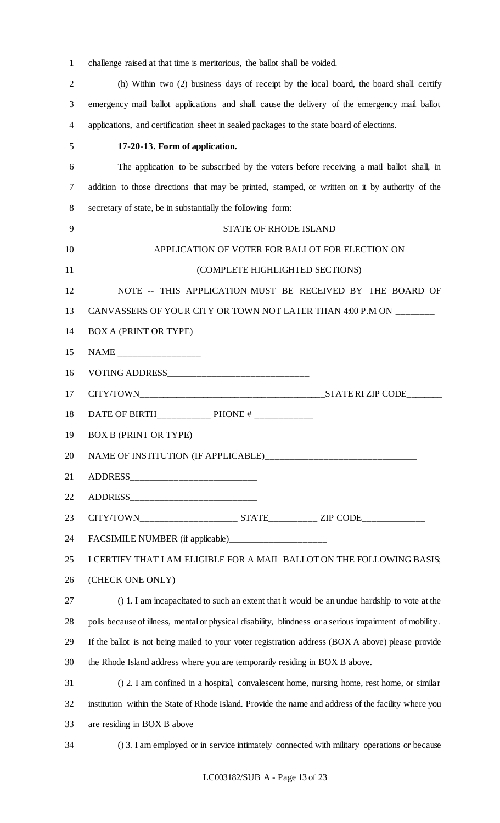|  |  | challenge raised at that time is meritorious, the ballot shall be voided. |  |  |  |
|--|--|---------------------------------------------------------------------------|--|--|--|
|  |  |                                                                           |  |  |  |

| $\overline{2}$ | (h) Within two (2) business days of receipt by the local board, the board shall certify                 |
|----------------|---------------------------------------------------------------------------------------------------------|
| 3              | emergency mail ballot applications and shall cause the delivery of the emergency mail ballot            |
| 4              | applications, and certification sheet in sealed packages to the state board of elections.               |
| 5              | 17-20-13. Form of application.                                                                          |
| 6              | The application to be subscribed by the voters before receiving a mail ballot shall, in                 |
| 7              | addition to those directions that may be printed, stamped, or written on it by authority of the         |
| 8              | secretary of state, be in substantially the following form:                                             |
| 9              | STATE OF RHODE ISLAND                                                                                   |
| 10             | APPLICATION OF VOTER FOR BALLOT FOR ELECTION ON                                                         |
| 11             | (COMPLETE HIGHLIGHTED SECTIONS)                                                                         |
| 12             | NOTE -- THIS APPLICATION MUST BE RECEIVED BY THE BOARD OF                                               |
| 13             | CANVASSERS OF YOUR CITY OR TOWN NOT LATER THAN 4:00 P.M ON ________                                     |
| 14             | <b>BOX A (PRINT OR TYPE)</b>                                                                            |
| 15             |                                                                                                         |
| 16             |                                                                                                         |
| 17             |                                                                                                         |
| 18             |                                                                                                         |
| 19             | <b>BOX B (PRINT OR TYPE)</b>                                                                            |
| 20             |                                                                                                         |
| 21             |                                                                                                         |
| 22             |                                                                                                         |
| 23             |                                                                                                         |
| 24             | FACSIMILE NUMBER (if applicable)______________________                                                  |
| 25             | I CERTIFY THAT I AM ELIGIBLE FOR A MAIL BALLOT ON THE FOLLOWING BASIS;                                  |
| 26             | (CHECK ONE ONLY)                                                                                        |
| 27             | () 1. I am incapacitated to such an extent that it would be an undue hardship to vote at the            |
| 28             | polls because of illness, mental or physical disability, blindness or a serious impairment of mobility. |
| 29             | If the ballot is not being mailed to your voter registration address (BOX A above) please provide       |
| 30             | the Rhode Island address where you are temporarily residing in BOX B above.                             |
| 31             | () 2. I am confined in a hospital, convalescent home, nursing home, rest home, or similar               |
| 32             | institution within the State of Rhode Island. Provide the name and address of the facility where you    |
| 33             | are residing in BOX B above                                                                             |
| 34             | () 3. I am employed or in service intimately connected with military operations or because              |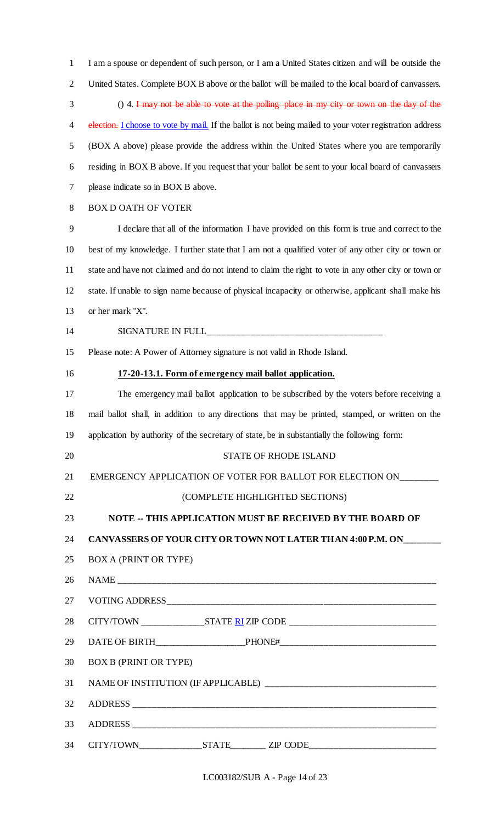I am a spouse or dependent of such person, or I am a United States citizen and will be outside the United States. Complete BOX B above or the ballot will be mailed to the local board of canvassers. () 4. I may not be able to vote at the polling place in my city or town on the day of the 4 election. I choose to vote by mail. If the ballot is not being mailed to your voter registration address (BOX A above) please provide the address within the United States where you are temporarily residing in BOX B above. If you request that your ballot be sent to your local board of canvassers please indicate so in BOX B above. BOX D OATH OF VOTER I declare that all of the information I have provided on this form is true and correct to the best of my knowledge. I further state that I am not a qualified voter of any other city or town or state and have not claimed and do not intend to claim the right to vote in any other city or town or state. If unable to sign name because of physical incapacity or otherwise, applicant shall make his or her mark "X". 14 SIGNATURE IN FULL Please note: A Power of Attorney signature is not valid in Rhode Island. **17-20-13.1. Form of emergency mail ballot application.** The emergency mail ballot application to be subscribed by the voters before receiving a mail ballot shall, in addition to any directions that may be printed, stamped, or written on the application by authority of the secretary of state, be in substantially the following form: 20 STATE OF RHODE ISLAND 21 EMERGENCY APPLICATION OF VOTER FOR BALLOT FOR ELECTION ON\_\_\_\_\_\_\_\_ (COMPLETE HIGHLIGHTED SECTIONS) **NOTE -- THIS APPLICATION MUST BE RECEIVED BY THE BOARD OF CANVASSERS OF YOUR CITY OR TOWN NOT LATER THAN 4:00 P.M. ON\_\_\_\_\_\_\_\_** BOX A (PRINT OR TYPE) NAME \_\_\_\_\_\_\_\_\_\_\_\_\_\_\_\_\_\_\_\_\_\_\_\_\_\_\_\_\_\_\_\_\_\_\_\_\_\_\_\_\_\_\_\_\_\_\_\_\_\_\_\_\_\_\_\_\_\_\_\_\_\_\_\_\_ 27 VOTING ADDRESS CITY/TOWN \_\_\_\_\_\_\_\_\_\_\_\_\_\_STATE RI ZIP CODE \_\_\_\_\_\_\_\_\_\_\_\_\_\_\_\_\_\_\_\_\_\_\_\_\_\_\_\_\_\_ DATE OF BIRTH\_\_\_\_\_\_\_\_\_\_\_\_\_\_\_\_\_\_\_\_PHONE#\_\_\_\_\_\_\_\_\_\_\_\_\_\_\_\_\_\_\_\_\_\_\_\_\_\_\_\_\_\_\_\_ BOX B (PRINT OR TYPE) NAME OF INSTITUTION (IF APPLICABLE) \_\_\_\_\_\_\_\_\_\_\_\_\_\_\_\_\_\_\_\_\_\_\_\_\_\_\_\_\_\_\_\_\_\_\_ 32 ADDRESS 33 ADDRESS 34 CITY/TOWN\_\_\_\_\_\_\_\_\_\_\_\_\_\_\_\_STATE\_\_\_\_\_\_\_\_\_\_ ZIP CODE\_\_\_\_\_\_\_\_\_\_\_\_\_\_\_\_\_\_\_\_\_\_\_\_\_\_\_\_\_

LC003182/SUB A - Page 14 of 23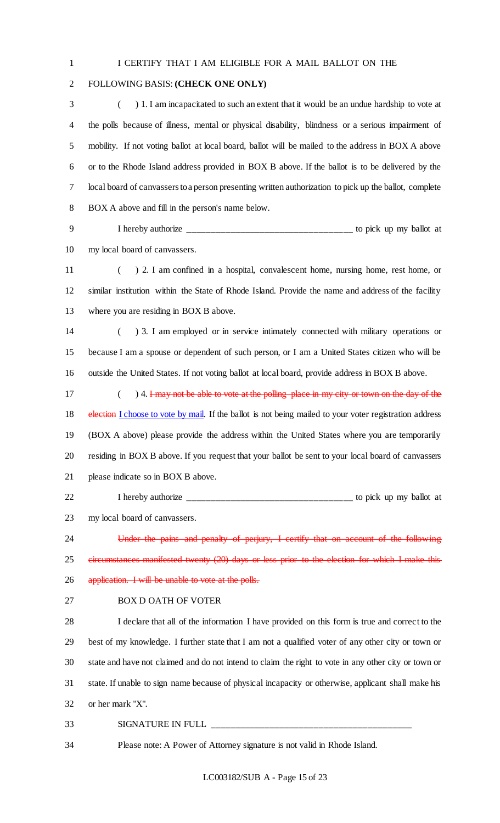#### I CERTIFY THAT I AM ELIGIBLE FOR A MAIL BALLOT ON THE

# FOLLOWING BASIS: **(CHECK ONE ONLY)**

 ( ) 1. I am incapacitated to such an extent that it would be an undue hardship to vote at the polls because of illness, mental or physical disability, blindness or a serious impairment of mobility. If not voting ballot at local board, ballot will be mailed to the address in BOX A above or to the Rhode Island address provided in BOX B above. If the ballot is to be delivered by the local board of canvassers to a person presenting written authorization to pick up the ballot, complete BOX A above and fill in the person's name below.

 I hereby authorize \_\_\_\_\_\_\_\_\_\_\_\_\_\_\_\_\_\_\_\_\_\_\_\_\_\_\_\_\_\_\_\_\_\_ to pick up my ballot at my local board of canvassers.

 ( ) 2. I am confined in a hospital, convalescent home, nursing home, rest home, or similar institution within the State of Rhode Island. Provide the name and address of the facility where you are residing in BOX B above.

 ( ) 3. I am employed or in service intimately connected with military operations or because I am a spouse or dependent of such person, or I am a United States citizen who will be outside the United States. If not voting ballot at local board, provide address in BOX B above.

17 (a) 4. I may not be able to vote at the polling place in my city or town on the day of the 18 election I choose to vote by mail. If the ballot is not being mailed to your voter registration address (BOX A above) please provide the address within the United States where you are temporarily residing in BOX B above. If you request that your ballot be sent to your local board of canvassers please indicate so in BOX B above.

 I hereby authorize \_\_\_\_\_\_\_\_\_\_\_\_\_\_\_\_\_\_\_\_\_\_\_\_\_\_\_\_\_\_\_\_\_\_ to pick up my ballot at my local board of canvassers.

 Under the pains and penalty of perjury, I certify that on account of the following circumstances manifested twenty (20) days or less prior to the election for which I make this 26 application. I will be unable to vote at the polls.

BOX D OATH OF VOTER

 I declare that all of the information I have provided on this form is true and correct to the best of my knowledge. I further state that I am not a qualified voter of any other city or town or state and have not claimed and do not intend to claim the right to vote in any other city or town or state. If unable to sign name because of physical incapacity or otherwise, applicant shall make his or her mark "X".

#### 33 SIGNATURE IN FULL

Please note: A Power of Attorney signature is not valid in Rhode Island.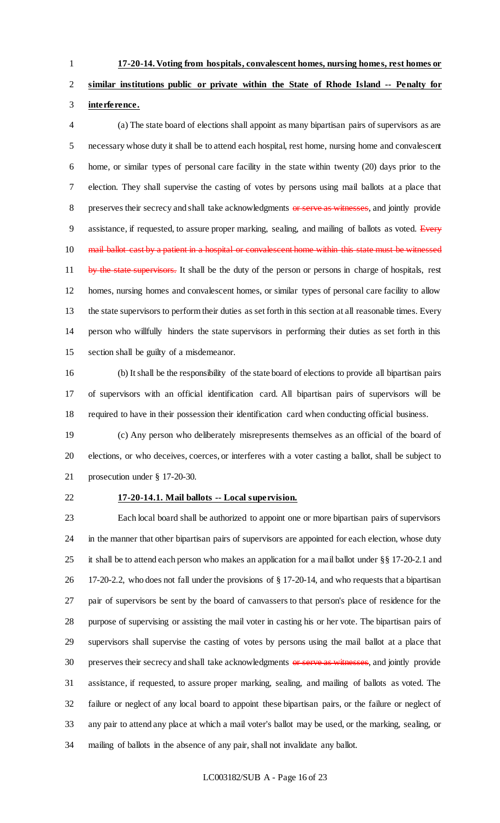**17-20-14. Voting from hospitals, convalescent homes, nursing homes, rest homes or** 

# **similar institutions public or private within the State of Rhode Island -- Penalty for interference.**

 (a) The state board of elections shall appoint as many bipartisan pairs of supervisors as are necessary whose duty it shall be to attend each hospital, rest home, nursing home and convalescent home, or similar types of personal care facility in the state within twenty (20) days prior to the election. They shall supervise the casting of votes by persons using mail ballots at a place that 8 preserves their secrecy and shall take acknowledgments or serve as witnesses, and jointly provide 9 assistance, if requested, to assure proper marking, sealing, and mailing of ballots as voted. Every 10 mail ballot cast by a patient in a hospital or convalescent home within this state must be witnessed 11 by the state supervisors. It shall be the duty of the person or persons in charge of hospitals, rest homes, nursing homes and convalescent homes, or similar types of personal care facility to allow the state supervisors to perform their duties as set forth in this section at all reasonable times. Every person who willfully hinders the state supervisors in performing their duties as set forth in this section shall be guilty of a misdemeanor.

 (b) It shall be the responsibility of the state board of elections to provide all bipartisan pairs of supervisors with an official identification card. All bipartisan pairs of supervisors will be required to have in their possession their identification card when conducting official business.

 (c) Any person who deliberately misrepresents themselves as an official of the board of elections, or who deceives, coerces, or interferes with a voter casting a ballot, shall be subject to prosecution under § 17-20-30.

# **17-20-14.1. Mail ballots -- Local supervision.**

 Each local board shall be authorized to appoint one or more bipartisan pairs of supervisors in the manner that other bipartisan pairs of supervisors are appointed for each election, whose duty it shall be to attend each person who makes an application for a mail ballot under §§ 17-20-2.1 and 17-20-2.2, who does not fall under the provisions of § 17-20-14, and who requests that a bipartisan pair of supervisors be sent by the board of canvassers to that person's place of residence for the purpose of supervising or assisting the mail voter in casting his or her vote. The bipartisan pairs of supervisors shall supervise the casting of votes by persons using the mail ballot at a place that 30 preserves their secrecy and shall take acknowledgments or serve as witnesses, and jointly provide assistance, if requested, to assure proper marking, sealing, and mailing of ballots as voted. The failure or neglect of any local board to appoint these bipartisan pairs, or the failure or neglect of any pair to attend any place at which a mail voter's ballot may be used, or the marking, sealing, or mailing of ballots in the absence of any pair, shall not invalidate any ballot.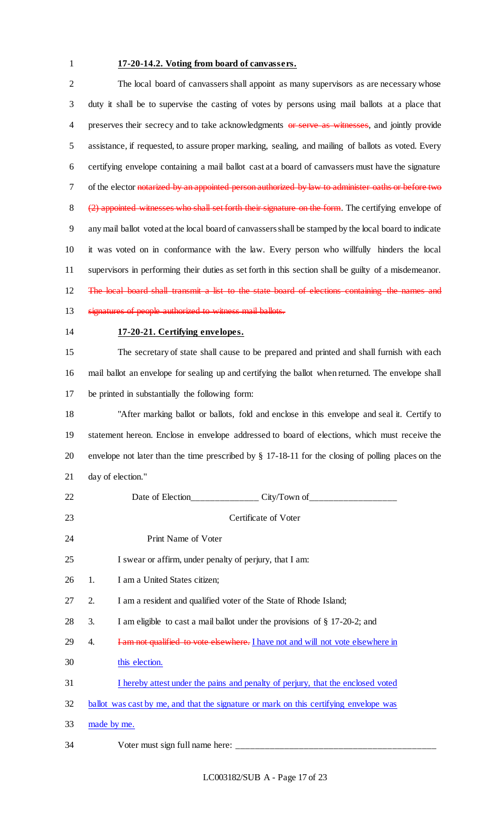# **17-20-14.2. Voting from board of canvassers.**

 The local board of canvassers shall appoint as many supervisors as are necessary whose duty it shall be to supervise the casting of votes by persons using mail ballots at a place that 4 preserves their secrecy and to take acknowledgments or serve as witnesses, and jointly provide assistance, if requested, to assure proper marking, sealing, and mailing of ballots as voted. Every certifying envelope containing a mail ballot cast at a board of canvassers must have the signature 7 of the elector notarized by an appointed person authorized by law to administer oaths or before two 8 (2) appointed witnesses who shall set forth their signature on the form. The certifying envelope of any mail ballot voted at the local board of canvassers shall be stamped by the local board to indicate it was voted on in conformance with the law. Every person who willfully hinders the local supervisors in performing their duties as set forth in this section shall be guilty of a misdemeanor. 12 The local board shall transmit a list to the state board of elections containing the names and signatures of people authorized to witness mail ballots. **17-20-21. Certifying envelopes.**

 The secretary of state shall cause to be prepared and printed and shall furnish with each mail ballot an envelope for sealing up and certifying the ballot when returned. The envelope shall be printed in substantially the following form:

 "After marking ballot or ballots, fold and enclose in this envelope and seal it. Certify to statement hereon. Enclose in envelope addressed to board of elections, which must receive the envelope not later than the time prescribed by § 17-18-11 for the closing of polling places on the day of election."

| 22 |    | Date of Election______________ City/Town of__________________                         |
|----|----|---------------------------------------------------------------------------------------|
| 23 |    | Certificate of Voter                                                                  |
| 24 |    | Print Name of Voter                                                                   |
| 25 |    | I swear or affirm, under penalty of perjury, that I am:                               |
| 26 | 1. | I am a United States citizen;                                                         |
| 27 | 2. | I am a resident and qualified voter of the State of Rhode Island;                     |
| 28 | 3. | I am eligible to cast a mail ballot under the provisions of § 17-20-2; and            |
| 29 | 4. | I am not qualified to vote elsewhere. I have not and will not vote elsewhere in       |
| 30 |    | this election.                                                                        |
| 31 |    | I hereby attest under the pains and penalty of perjury, that the enclosed voted       |
| 32 |    | ballot was cast by me, and that the signature or mark on this certifying envelope was |
| 33 |    | made by me.                                                                           |
| 34 |    |                                                                                       |

LC003182/SUB A - Page 17 of 23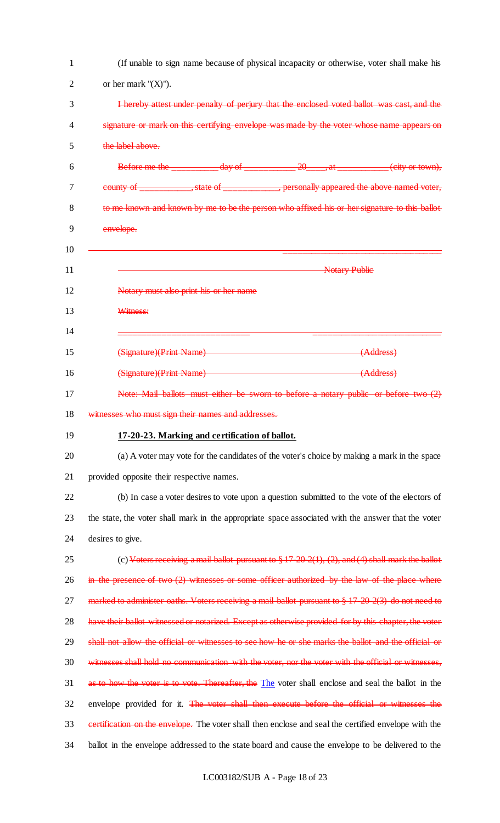| 1  | (If unable to sign name because of physical incapacity or otherwise, voter shall make his                   |
|----|-------------------------------------------------------------------------------------------------------------|
| 2  | or her mark " $(X)$ ").                                                                                     |
| 3  | I hereby attest under penalty of perjury that the enclosed voted ballot was cast, and the                   |
| 4  | signature or mark on this certifying envelope was made by the voter whose name appears on                   |
| 5  | the label above.                                                                                            |
| 6  | Before me the ____________ day of _____________ 20_____, at ___________ (city or town),                     |
| 7  | county of ______________, state of ______________, personally appeared the above named voter,               |
| 8  | to me known and known by me to be the person who affixed his or her signature to this ballot                |
| 9  | envelope.                                                                                                   |
| 10 |                                                                                                             |
| 11 | <b>Notary Public</b>                                                                                        |
| 12 | Notary must also print his or her name                                                                      |
| 13 | Witness:                                                                                                    |
| 14 |                                                                                                             |
| 15 | (Signature)(Print Name) (Address)                                                                           |
| 16 | (Signature)(Print Name) (Address)                                                                           |
| 17 | Note: Mail ballots must either be sworn to before a notary public or before two (2)                         |
| 18 | witnesses who must sign their names and addresses.                                                          |
| 19 | 17-20-23. Marking and certification of ballot.                                                              |
| 20 | (a) A voter may vote for the candidates of the voter's choice by making a mark in the space                 |
| 21 | provided opposite their respective names.                                                                   |
| 22 | (b) In case a voter desires to vote upon a question submitted to the vote of the electors of                |
| 23 | the state, the voter shall mark in the appropriate space associated with the answer that the voter          |
| 24 | desires to give.                                                                                            |
| 25 | (c) Voters receiving a mail ballot pursuant to $\frac{8}{9}$ 17-20-2(1), (2), and (4) shall mark the ballot |
| 26 | in the presence of two $(2)$ witnesses or some officer authorized by the law of the place where             |
| 27 | marked to administer oaths. Voters receiving a mail ballot pursuant to § 17-20-2(3) do not need to          |
| 28 | have their ballot witnessed or notarized. Except as otherwise provided for by this chapter, the voter       |
| 29 | shall not allow the official or witnesses to see how he or she marks the ballot and the official or         |
| 30 | witnesses shall hold no communication with the voter, nor the voter with the official or witnesses,         |
| 31 | as to how the voter is to vote. Thereafter, the The voter shall enclose and seal the ballot in the          |
| 32 | envelope provided for it. The voter shall then execute before the official or witnesses the                 |
| 33 | eertification on the envelope. The voter shall then enclose and seal the certified envelope with the        |
| 34 | ballot in the envelope addressed to the state board and cause the envelope to be delivered to the           |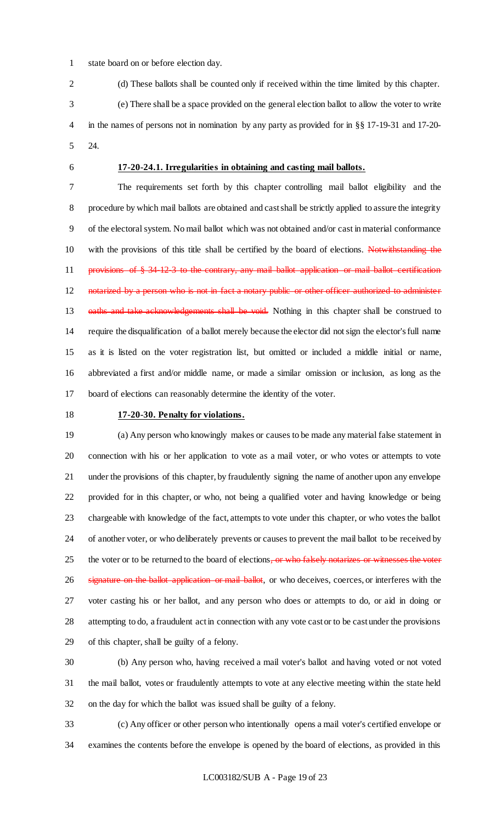- state board on or before election day.
- (d) These ballots shall be counted only if received within the time limited by this chapter. (e) There shall be a space provided on the general election ballot to allow the voter to write
- in the names of persons not in nomination by any party as provided for in §§ 17-19-31 and 17-20- 24.
- 

# **17-20-24.1. Irregularities in obtaining and casting mail ballots.**

 The requirements set forth by this chapter controlling mail ballot eligibility and the procedure by which mail ballots are obtained and cast shall be strictly applied to assure the integrity of the electoral system. No mail ballot which was not obtained and/or cast in material conformance with the provisions of this title shall be certified by the board of elections. Notwithstanding the 11 provisions of § 34-12-3 to the contrary, any mail ballot application or mail ballot certification 12 notarized by a person who is not in fact a notary public or other officer authorized to administer 13 oaths and take acknowledgements shall be void. Nothing in this chapter shall be construed to require the disqualification of a ballot merely because the elector did not sign the elector's full name as it is listed on the voter registration list, but omitted or included a middle initial or name, abbreviated a first and/or middle name, or made a similar omission or inclusion, as long as the board of elections can reasonably determine the identity of the voter.

# **17-20-30. Penalty for violations.**

 (a) Any person who knowingly makes or causes to be made any material false statement in connection with his or her application to vote as a mail voter, or who votes or attempts to vote under the provisions of this chapter, by fraudulently signing the name of another upon any envelope provided for in this chapter, or who, not being a qualified voter and having knowledge or being chargeable with knowledge of the fact, attempts to vote under this chapter, or who votes the ballot of another voter, or who deliberately prevents or causes to prevent the mail ballot to be received by 25 the voter or to be returned to the board of elections, or who falsely notarizes or witnesses the voter signature on the ballot application or mail ballot, or who deceives, coerces, or interferes with the voter casting his or her ballot, and any person who does or attempts to do, or aid in doing or attempting to do, a fraudulent act in connection with any vote cast or to be cast under the provisions of this chapter, shall be guilty of a felony.

 (b) Any person who, having received a mail voter's ballot and having voted or not voted the mail ballot, votes or fraudulently attempts to vote at any elective meeting within the state held on the day for which the ballot was issued shall be guilty of a felony.

 (c) Any officer or other person who intentionally opens a mail voter's certified envelope or examines the contents before the envelope is opened by the board of elections, as provided in this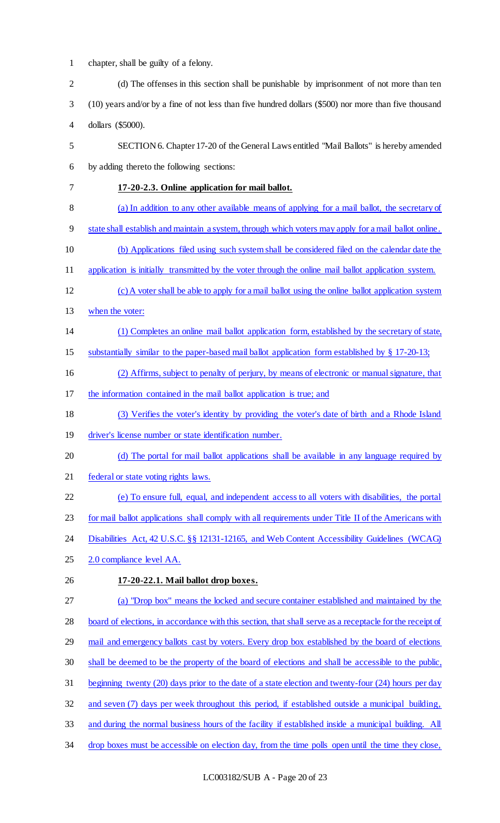1 chapter, shall be guilty of a felony.

| $\overline{2}$ | (d) The offenses in this section shall be punishable by imprisonment of not more than ten                |
|----------------|----------------------------------------------------------------------------------------------------------|
| 3              | (10) years and/or by a fine of not less than five hundred dollars (\$500) nor more than five thousand    |
| 4              | dollars (\$5000).                                                                                        |
| 5              | SECTION 6. Chapter 17-20 of the General Laws entitled "Mail Ballots" is hereby amended                   |
| 6              | by adding thereto the following sections:                                                                |
| 7              | 17-20-2.3. Online application for mail ballot.                                                           |
| 8              | (a) In addition to any other available means of applying for a mail ballot, the secretary of             |
| 9              | state shall establish and maintain a system, through which voters may apply for a mail ballot online.    |
| 10             | (b) Applications filed using such system shall be considered filed on the calendar date the              |
| 11             | application is initially transmitted by the voter through the online mail ballot application system.     |
| 12             | (c) A voter shall be able to apply for a mail ballot using the online ballot application system          |
| 13             | when the voter:                                                                                          |
| 14             | (1) Completes an online mail ballot application form, established by the secretary of state,             |
| 15             | substantially similar to the paper-based mail ballot application form established by § 17-20-13;         |
| 16             | (2) Affirms, subject to penalty of perjury, by means of electronic or manual signature, that             |
| 17             | the information contained in the mail ballot application is true; and                                    |
| 18             | (3) Verifies the voter's identity by providing the voter's date of birth and a Rhode Island              |
| 19             | driver's license number or state identification number.                                                  |
| 20             | (d) The portal for mail ballot applications shall be available in any language required by               |
| 21             | federal or state voting rights laws.                                                                     |
| 22             | (e) To ensure full, equal, and independent access to all voters with disabilities, the portal            |
| 23             | for mail ballot applications shall comply with all requirements under Title II of the Americans with     |
| 24             | Disabilities Act, 42 U.S.C. §§ 12131-12165, and Web Content Accessibility Guidelines (WCAG)              |
| 25             | 2.0 compliance level AA.                                                                                 |
| 26             | 17-20-22.1. Mail ballot drop boxes.                                                                      |
| 27             | (a) "Drop box" means the locked and secure container established and maintained by the                   |
| 28             | board of elections, in accordance with this section, that shall serve as a receptacle for the receipt of |
| 29             | mail and emergency ballots cast by voters. Every drop box established by the board of elections          |
| 30             | shall be deemed to be the property of the board of elections and shall be accessible to the public,      |
| 31             | beginning twenty (20) days prior to the date of a state election and twenty-four (24) hours per day      |
| 32             | and seven (7) days per week throughout this period, if established outside a municipal building,         |
| 33             | and during the normal business hours of the facility if established inside a municipal building. All     |
| 34             | drop boxes must be accessible on election day, from the time polls open until the time they close,       |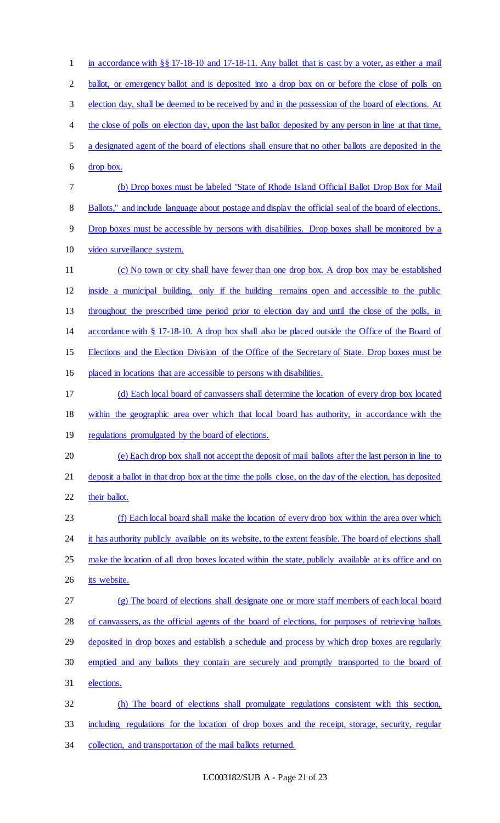1 in accordance with §§ 17-18-10 and 17-18-11. Any ballot that is cast by a voter, as either a mail 2 ballot, or emergency ballot and is deposited into a drop box on or before the close of polls on election day, shall be deemed to be received by and in the possession of the board of elections. At 4 the close of polls on election day, upon the last ballot deposited by any person in line at that time, a designated agent of the board of elections shall ensure that no other ballots are deposited in the drop box. (b) Drop boxes must be labeled "State of Rhode Island Official Ballot Drop Box for Mail 8 Ballots," and include language about postage and display the official seal of the board of elections. Drop boxes must be accessible by persons with disabilities. Drop boxes shall be monitored by a video surveillance system. (c) No town or city shall have fewer than one drop box. A drop box may be established inside a municipal building, only if the building remains open and accessible to the public throughout the prescribed time period prior to election day and until the close of the polls, in accordance with § 17-18-10. A drop box shall also be placed outside the Office of the Board of Elections and the Election Division of the Office of the Secretary of State. Drop boxes must be placed in locations that are accessible to persons with disabilities. (d) Each local board of canvassers shall determine the location of every drop box located within the geographic area over which that local board has authority, in accordance with the 19 regulations promulgated by the board of elections. (e) Each drop box shall not accept the deposit of mail ballots after the last person in line to deposit a ballot in that drop box at the time the polls close, on the day of the election, has deposited their ballot. (f) Each local board shall make the location of every drop box within the area over which 24 it has authority publicly available on its website, to the extent feasible. The board of elections shall 25 make the location of all drop boxes located within the state, publicly available at its office and on 26 its website. (g) The board of elections shall designate one or more staff members of each local board of canvassers, as the official agents of the board of elections, for purposes of retrieving ballots 29 deposited in drop boxes and establish a schedule and process by which drop boxes are regularly emptied and any ballots they contain are securely and promptly transported to the board of elections. (h) The board of elections shall promulgate regulations consistent with this section, including regulations for the location of drop boxes and the receipt, storage, security, regular collection, and transportation of the mail ballots returned.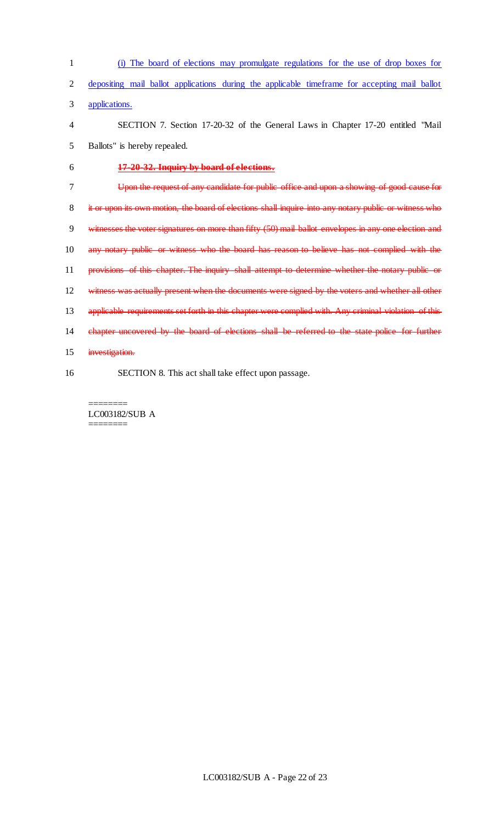| $\mathbf{1}$   | (i) The board of elections may promulgate regulations for the use of drop boxes for                   |
|----------------|-------------------------------------------------------------------------------------------------------|
| $\overline{2}$ | depositing mail ballot applications during the applicable timeframe for accepting mail ballot         |
| 3              | applications.                                                                                         |
| $\overline{4}$ | SECTION 7. Section 17-20-32 of the General Laws in Chapter 17-20 entitled "Mail                       |
| 5              | Ballots" is hereby repealed.                                                                          |
| 6              | 17-20-32. Inquiry by board of elections.                                                              |
| 7              | Upon the request of any candidate for public office and upon a showing of good cause for              |
| 8              | it or upon its own motion, the board of elections shall inquire into any notary public or witness who |
| 9              | witnesses the voter signatures on more than fifty (50) mail ballot envelopes in any one election and  |
| 10             | any notary public or witness who the board has reason to believe has not complied with the            |
| 11             | provisions of this chapter. The inquiry shall attempt to determine whether the notary public or       |
| 12             | witness was actually present when the documents were signed by the voters and whether all other       |
| 13             | applicable requirements set forth in this chapter were complied with. Any criminal violation of this  |
| 14             | chapter uncovered by the board of elections shall be referred to the state police for further         |
| 15             | investigation.                                                                                        |
| 16             | SECTION 8. This act shall take effect upon passage.                                                   |

LC003182/SUB A ========

 $=$